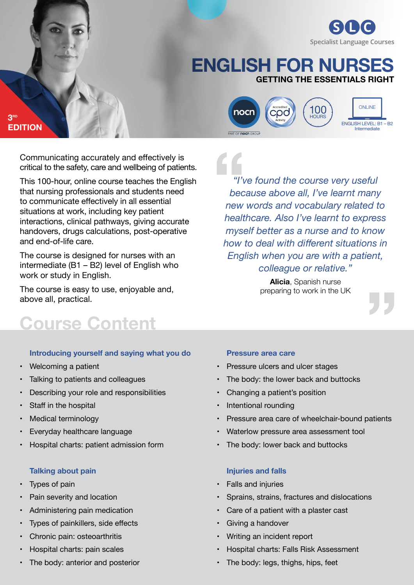

# **getting the essentials right English for nurses**



Communicating accurately and effectively is critical to the safety, care and wellbeing of patients.

This 100-hour, online course teaches the English that nursing professionals and students need to communicate effectively in all essential situations at work, including key patient interactions, clinical pathways, giving accurate handovers, drugs calculations, post-operative and end-of-life care.

The course is designed for nurses with an intermediate (B1 – B2) level of English who work or study in English.

The course is easy to use, enjoyable and, above all, practical.

# **Course Content**

#### **Introducing yourself and saying what you do**

• Welcoming a patient

**3rd**

**Edition**

- Talking to patients and colleagues
- Describing your role and responsibilities
- Staff in the hospital
- Medical terminology
- Everyday healthcare language
- Hospital charts: patient admission form

#### **Talking about pain**

- Types of pain
- Pain severity and location
- Administering pain medication
- Types of painkillers, side effects
- Chronic pain: osteoarthritis
- Hospital charts: pain scales
- The body: anterior and posterior

*"I've found the course very useful because above all, I've learnt many new words and vocabulary related to healthcare. Also I've learnt to express myself better as a nurse and to know how to deal with different situations in English when you are with a patient, colleague or relative."*

> **Alicia**, Spanish nurse preparing to work in the UK

#### **Pressure area care**

- Pressure ulcers and ulcer stages
- The body: the lower back and buttocks
- Changing a patient's position
- Intentional rounding
- Pressure area care of wheelchair-bound patients
- Waterlow pressure area assessment tool
- The body: lower back and buttocks

# **Injuries and falls**

- Falls and injuries
- Sprains, strains, fractures and dislocations
- Care of a patient with a plaster cast
- Giving a handover
- Writing an incident report
- Hospital charts: Falls Risk Assessment
- The body: legs, thighs, hips, feet